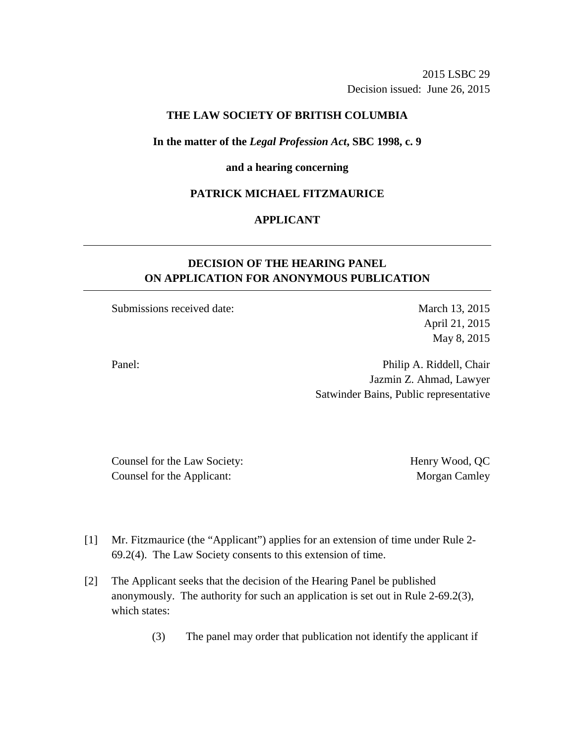2015 LSBC 29 Decision issued: June 26, 2015

## **THE LAW SOCIETY OF BRITISH COLUMBIA**

#### **In the matter of the** *Legal Profession Act***, SBC 1998, c. 9**

### **and a hearing concerning**

### **PATRICK MICHAEL FITZMAURICE**

### **APPLICANT**

# **DECISION OF THE HEARING PANEL ON APPLICATION FOR ANONYMOUS PUBLICATION**

Submissions received date: March 13, 2015

April 21, 2015 May 8, 2015

Panel: Panel: Philip A. Riddell, Chair Jazmin Z. Ahmad, Lawyer Satwinder Bains, Public representative

Counsel for the Law Society: Henry Wood, QC Counsel for the Applicant: Morgan Camley

- [1] Mr. Fitzmaurice (the "Applicant") applies for an extension of time under Rule 2- 69.2(4). The Law Society consents to this extension of time.
- [2] The Applicant seeks that the decision of the Hearing Panel be published anonymously. The authority for such an application is set out in Rule 2-69.2(3), which states:
	- (3) The panel may order that publication not identify the applicant if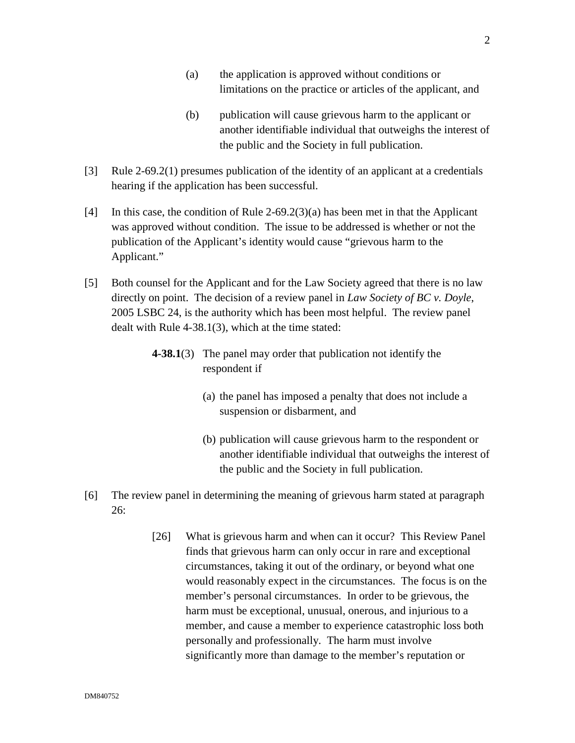- (a) the application is approved without conditions or limitations on the practice or articles of the applicant, and
- (b) publication will cause grievous harm to the applicant or another identifiable individual that outweighs the interest of the public and the Society in full publication.
- [3] Rule 2-69.2(1) presumes publication of the identity of an applicant at a credentials hearing if the application has been successful.
- [4] In this case, the condition of Rule 2-69.2(3)(a) has been met in that the Applicant was approved without condition. The issue to be addressed is whether or not the publication of the Applicant's identity would cause "grievous harm to the Applicant."
- [5] Both counsel for the Applicant and for the Law Society agreed that there is no law directly on point. The decision of a review panel in *Law Society of BC v. Doyle*, 2005 LSBC 24, is the authority which has been most helpful. The review panel dealt with Rule 4-38.1(3), which at the time stated:
	- **4-38.1**(3) The panel may order that publication not identify the respondent if
		- (a) the panel has imposed a penalty that does not include a suspension or disbarment, and
		- (b) publication will cause grievous harm to the respondent or another identifiable individual that outweighs the interest of the public and the Society in full publication.
- [6] The review panel in determining the meaning of grievous harm stated at paragraph 26:
	- [26] What is grievous harm and when can it occur? This Review Panel finds that grievous harm can only occur in rare and exceptional circumstances, taking it out of the ordinary, or beyond what one would reasonably expect in the circumstances. The focus is on the member's personal circumstances. In order to be grievous, the harm must be exceptional, unusual, onerous, and injurious to a member, and cause a member to experience catastrophic loss both personally and professionally. The harm must involve significantly more than damage to the member's reputation or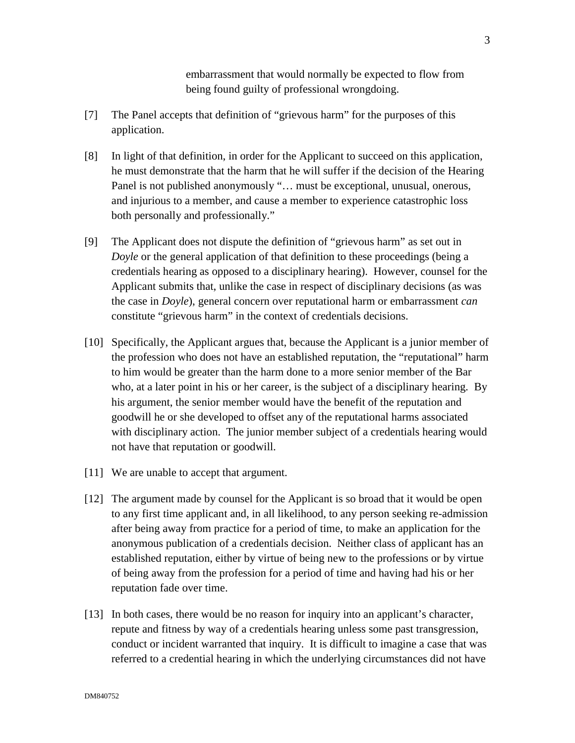embarrassment that would normally be expected to flow from being found guilty of professional wrongdoing.

- [7] The Panel accepts that definition of "grievous harm" for the purposes of this application.
- [8] In light of that definition, in order for the Applicant to succeed on this application, he must demonstrate that the harm that he will suffer if the decision of the Hearing Panel is not published anonymously "… must be exceptional, unusual, onerous, and injurious to a member, and cause a member to experience catastrophic loss both personally and professionally."
- [9] The Applicant does not dispute the definition of "grievous harm" as set out in *Doyle* or the general application of that definition to these proceedings (being a credentials hearing as opposed to a disciplinary hearing). However, counsel for the Applicant submits that, unlike the case in respect of disciplinary decisions (as was the case in *Doyle*), general concern over reputational harm or embarrassment *can* constitute "grievous harm" in the context of credentials decisions.
- [10] Specifically, the Applicant argues that, because the Applicant is a junior member of the profession who does not have an established reputation, the "reputational" harm to him would be greater than the harm done to a more senior member of the Bar who, at a later point in his or her career, is the subject of a disciplinary hearing. By his argument, the senior member would have the benefit of the reputation and goodwill he or she developed to offset any of the reputational harms associated with disciplinary action. The junior member subject of a credentials hearing would not have that reputation or goodwill.
- [11] We are unable to accept that argument.
- [12] The argument made by counsel for the Applicant is so broad that it would be open to any first time applicant and, in all likelihood, to any person seeking re-admission after being away from practice for a period of time, to make an application for the anonymous publication of a credentials decision. Neither class of applicant has an established reputation, either by virtue of being new to the professions or by virtue of being away from the profession for a period of time and having had his or her reputation fade over time.
- [13] In both cases, there would be no reason for inquiry into an applicant's character, repute and fitness by way of a credentials hearing unless some past transgression, conduct or incident warranted that inquiry. It is difficult to imagine a case that was referred to a credential hearing in which the underlying circumstances did not have